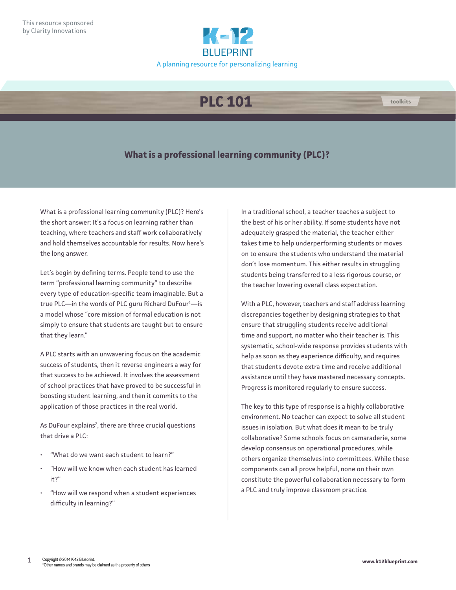

## **PLC 101**

## **What is a professional learning community (PLC)?**

What is a professional learning community (PLC)? Here's the short answer: It's a focus on learning rather than teaching, where teachers and staff work collaboratively and hold themselves accountable for results. Now here's the long answer.

Let's begin by defining terms. People tend to use the term "professional learning community" to describe every type of education-specific team imaginable. But a true PLC—in the words of PLC guru Richard DuFour<sup>1</sup>—is a model whose "core mission of formal education is not simply to ensure that students are taught but to ensure that they learn."

A PLC starts with an unwavering focus on the academic success of students, then it reverse engineers a way for that success to be achieved. It involves the assessment of school practices that have proved to be successful in boosting student learning, and then it commits to the application of those practices in the real world.

As DuFour explains<sup>2</sup>, there are three crucial questions that drive a PLC:

- "What do we want each student to learn?"
- "How will we know when each student has learned it?"
- "How will we respond when a student experiences difficulty in learning?"

In a traditional school, a teacher teaches a subject to the best of his or her ability. If some students have not adequately grasped the material, the teacher either takes time to help underperforming students or moves on to ensure the students who understand the material don't lose momentum. This either results in struggling students being transferred to a less rigorous course, or the teacher lowering overall class expectation.

With a PLC, however, teachers and staff address learning discrepancies together by designing strategies to that ensure that struggling students receive additional time and support, no matter who their teacher is. This systematic, school-wide response provides students with help as soon as they experience difficulty, and requires that students devote extra time and receive additional assistance until they have mastered necessary concepts. Progress is monitored regularly to ensure success.

The key to this type of response is a highly collaborative environment. No teacher can expect to solve all student issues in isolation. But what does it mean to be truly collaborative? Some schools focus on camaraderie, some develop consensus on operational procedures, while others organize themselves into committees. While these components can all prove helpful, none on their own constitute the powerful collaboration necessary to form a PLC and truly improve classroom practice.

**toolkits**